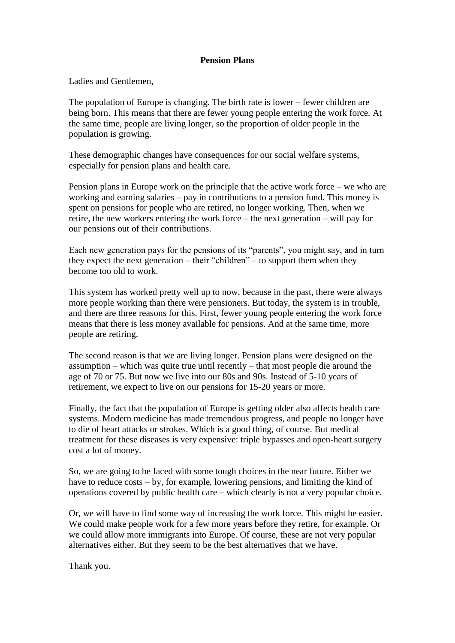## **Pension Plans**

Ladies and Gentlemen,

The population of Europe is changing. The birth rate is lower – fewer children are being born. This means that there are fewer young people entering the work force. At the same time, people are living longer, so the proportion of older people in the population is growing.

These demographic changes have consequences for our social welfare systems, especially for pension plans and health care.

Pension plans in Europe work on the principle that the active work force – we who are working and earning salaries – pay in contributions to a pension fund. This money is spent on pensions for people who are retired, no longer working. Then, when we retire, the new workers entering the work force – the next generation – will pay for our pensions out of their contributions.

Each new generation pays for the pensions of its "parents", you might say, and in turn they expect the next generation – their "children" – to support them when they become too old to work.

This system has worked pretty well up to now, because in the past, there were always more people working than there were pensioners. But today, the system is in trouble, and there are three reasons for this. First, fewer young people entering the work force means that there is less money available for pensions. And at the same time, more people are retiring.

The second reason is that we are living longer. Pension plans were designed on the assumption – which was quite true until recently – that most people die around the age of 70 or 75. But now we live into our 80s and 90s. Instead of 5-10 years of retirement, we expect to live on our pensions for 15-20 years or more.

Finally, the fact that the population of Europe is getting older also affects health care systems. Modern medicine has made tremendous progress, and people no longer have to die of heart attacks or strokes. Which is a good thing, of course. But medical treatment for these diseases is very expensive: triple bypasses and open-heart surgery cost a lot of money.

So, we are going to be faced with some tough choices in the near future. Either we have to reduce costs – by, for example, lowering pensions, and limiting the kind of operations covered by public health care – which clearly is not a very popular choice.

Or, we will have to find some way of increasing the work force. This might be easier. We could make people work for a few more years before they retire, for example. Or we could allow more immigrants into Europe. Of course, these are not very popular alternatives either. But they seem to be the best alternatives that we have.

Thank you.